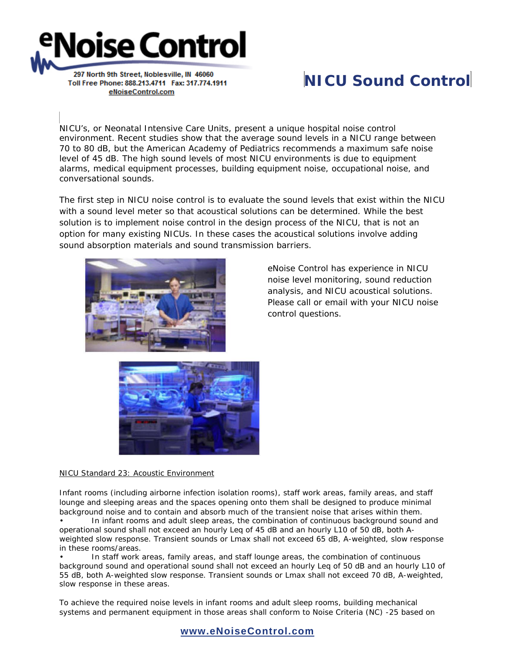## **Noise Control**

297 North 9th Street, Noblesville, IN 46060 Toll Free Phone: 888.213.4711 Fax: 317.774.1911 eNoiseControl.com

## **NICU Sound Control**

NICU's, or Neonatal Intensive Care Units, present a unique hospital noise control environment. Recent studies show that the average sound levels in a NICU range between 70 to 80 dB, but the American Academy of Pediatrics recommends a maximum safe noise level of 45 dB. The high sound levels of most NICU environments is due to equipment alarms, medical equipment processes, building equipment noise, occupational noise, and conversational sounds.

The first step in NICU noise control is to evaluate the sound levels that exist within the NICU with a sound level meter so that acoustical solutions can be determined. While the best solution is to implement noise control in the design process of the NICU, that is not an option for many existing NICUs. In these cases the acoustical solutions involve adding sound absorption materials and sound transmission barriers.



eNoise Control has experience in NICU noise level monitoring, sound reduction analysis, and NICU acoustical solutions. Please call or email with your NICU noise control questions.



NICU Standard 23: Acoustic Environment

Infant rooms (including airborne infection isolation rooms), staff work areas, family areas, and staff lounge and sleeping areas and the spaces opening onto them shall be designed to produce minimal background noise and to contain and absorb much of the transient noise that arises within them. • In infant rooms and adult sleep areas, the combination of continuous background sound and operational sound shall not exceed an hourly Leq of 45 dB and an hourly L10 of 50 dB, both Aweighted slow response. Transient sounds or Lmax shall not exceed 65 dB, A-weighted, slow response in these rooms/areas.

• In staff work areas, family areas, and staff lounge areas, the combination of continuous background sound and operational sound shall not exceed an hourly Leq of 50 dB and an hourly L10 of 55 dB, both A-weighted slow response. Transient sounds or Lmax shall not exceed 70 dB, A-weighted, slow response in these areas.

To achieve the required noise levels in infant rooms and adult sleep rooms, building mechanical systems and permanent equipment in those areas shall conform to Noise Criteria (NC) -25 based on

## **www.eNoiseControl.com**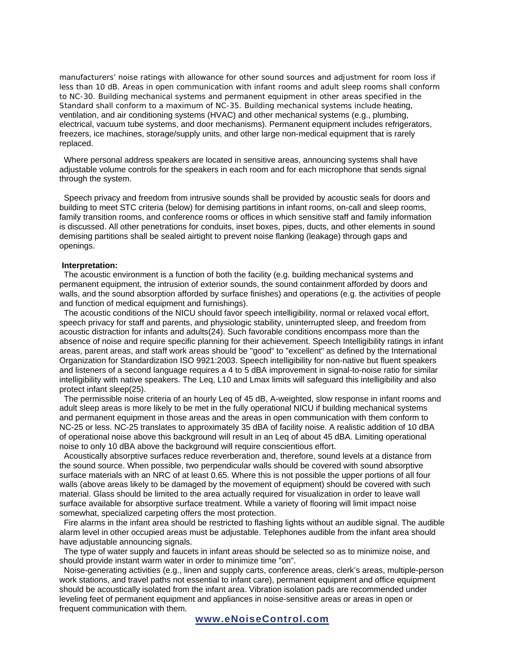manufacturers' noise ratings with allowance for other sound sources and adjustment for room loss if less than 10 dB. Areas in open communication with infant rooms and adult sleep rooms shall conform to NC-30. Building mechanical systems and permanent equipment in other areas specified in the Standard shall conform to a maximum of NC-35. Building mechanical systems include heating, ventilation, and air conditioning systems (HVAC) and other mechanical systems (e.g., plumbing, electrical, vacuum tube systems, and door mechanisms). Permanent equipment includes refrigerators, freezers, ice machines, storage/supply units, and other large non-medical equipment that is rarely replaced.

 Where personal address speakers are located in sensitive areas, announcing systems shall have adjustable volume controls for the speakers in each room and for each microphone that sends signal through the system.

 Speech privacy and freedom from intrusive sounds shall be provided by acoustic seals for doors and building to meet STC criteria (below) for demising partitions in infant rooms, on-call and sleep rooms, family transition rooms, and conference rooms or offices in which sensitive staff and family information is discussed. All other penetrations for conduits, inset boxes, pipes, ducts, and other elements in sound demising partitions shall be sealed airtight to prevent noise flanking (leakage) through gaps and openings.

## **Interpretation:**

 The acoustic environment is a function of both the facility (e.g. building mechanical systems and permanent equipment, the intrusion of exterior sounds, the sound containment afforded by doors and walls, and the sound absorption afforded by surface finishes) and operations (e.g. the activities of people and function of medical equipment and furnishings).

 The acoustic conditions of the NICU should favor speech intelligibility, normal or relaxed vocal effort, speech privacy for staff and parents, and physiologic stability, uninterrupted sleep, and freedom from acoustic distraction for infants and adults(24). Such favorable conditions encompass more than the absence of noise and require specific planning for their achievement. Speech Intelligibility ratings in infant areas, parent areas, and staff work areas should be "good" to "excellent" as defined by the International Organization for Standardization ISO 9921:2003. Speech intelligibility for non-native but fluent speakers and listeners of a second language requires a 4 to 5 dBA improvement in signal-to-noise ratio for similar intelligibility with native speakers. The Leq, L10 and Lmax limits will safeguard this intelligibility and also protect infant sleep(25).

 The permissible noise criteria of an hourly Leq of 45 dB, A-weighted, slow response in infant rooms and adult sleep areas is more likely to be met in the fully operational NICU if building mechanical systems and permanent equipment in those areas and the areas in open communication with them conform to NC-25 or less. NC-25 translates to approximately 35 dBA of facility noise. A realistic addition of 10 dBA of operational noise above this background will result in an Leq of about 45 dBA. Limiting operational noise to only 10 dBA above the background will require conscientious effort.

 Acoustically absorptive surfaces reduce reverberation and, therefore, sound levels at a distance from the sound source. When possible, two perpendicular walls should be covered with sound absorptive surface materials with an NRC of at least 0.65. Where this is not possible the upper portions of all four walls (above areas likely to be damaged by the movement of equipment) should be covered with such material. Glass should be limited to the area actually required for visualization in order to leave wall surface available for absorptive surface treatment. While a variety of flooring will limit impact noise somewhat, specialized carpeting offers the most protection.

 Fire alarms in the infant area should be restricted to flashing lights without an audible signal. The audible alarm level in other occupied areas must be adjustable. Telephones audible from the infant area should have adjustable announcing signals.

 The type of water supply and faucets in infant areas should be selected so as to minimize noise, and should provide instant warm water in order to minimize time "on".

 Noise-generating activities (e.g., linen and supply carts, conference areas, clerk's areas, multiple-person work stations, and travel paths not essential to infant care), permanent equipment and office equipment should be acoustically isolated from the infant area. Vibration isolation pads are recommended under leveling feet of permanent equipment and appliances in noise-sensitive areas or areas in open or frequent communication with them.

**www.eNoiseControl.com**